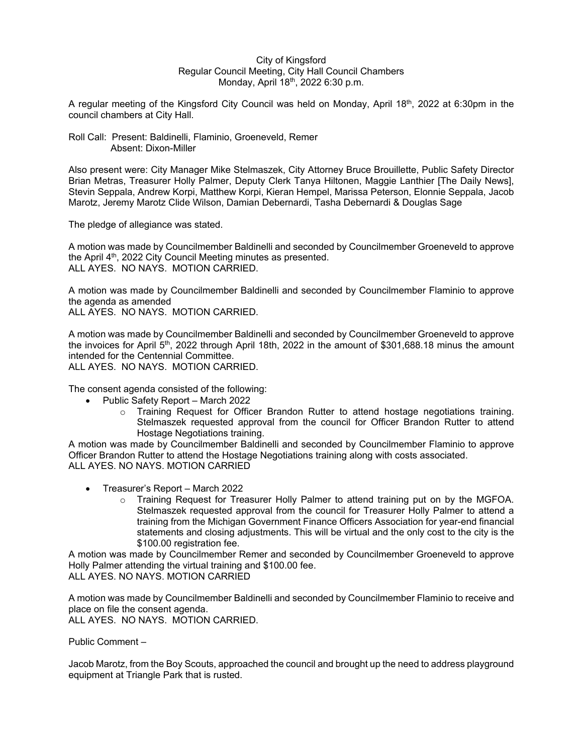## City of Kingsford Regular Council Meeting, City Hall Council Chambers Monday, April 18<sup>th</sup>, 2022 6:30 p.m.

A regular meeting of the Kingsford City Council was held on Monday, April 18<sup>th</sup>, 2022 at 6:30pm in the council chambers at City Hall.

## Roll Call: Present: Baldinelli, Flaminio, Groeneveld, Remer Absent: Dixon-Miller

Also present were: City Manager Mike Stelmaszek, City Attorney Bruce Brouillette, Public Safety Director Brian Metras, Treasurer Holly Palmer, Deputy Clerk Tanya Hiltonen, Maggie Lanthier [The Daily News], Stevin Seppala, Andrew Korpi, Matthew Korpi, Kieran Hempel, Marissa Peterson, Elonnie Seppala, Jacob Marotz, Jeremy Marotz Clide Wilson, Damian Debernardi, Tasha Debernardi & Douglas Sage

The pledge of allegiance was stated.

A motion was made by Councilmember Baldinelli and seconded by Councilmember Groeneveld to approve the April  $4<sup>th</sup>$ , 2022 City Council Meeting minutes as presented. ALL AYES. NO NAYS. MOTION CARRIED.

A motion was made by Councilmember Baldinelli and seconded by Councilmember Flaminio to approve the agenda as amended ALL AYES. NO NAYS. MOTION CARRIED.

A motion was made by Councilmember Baldinelli and seconded by Councilmember Groeneveld to approve the invoices for April 5<sup>th</sup>, 2022 through April 18th, 2022 in the amount of \$301,688.18 minus the amount intended for the Centennial Committee.

ALL AYES. NO NAYS. MOTION CARRIED.

The consent agenda consisted of the following:

- Public Safety Report March 2022
	- $\circ$  Training Request for Officer Brandon Rutter to attend hostage negotiations training. Stelmaszek requested approval from the council for Officer Brandon Rutter to attend Hostage Negotiations training.

A motion was made by Councilmember Baldinelli and seconded by Councilmember Flaminio to approve Officer Brandon Rutter to attend the Hostage Negotiations training along with costs associated. ALL AYES. NO NAYS. MOTION CARRIED

- Treasurer's Report March 2022
	- o Training Request for Treasurer Holly Palmer to attend training put on by the MGFOA. Stelmaszek requested approval from the council for Treasurer Holly Palmer to attend a training from the Michigan Government Finance Officers Association for year-end financial statements and closing adjustments. This will be virtual and the only cost to the city is the \$100.00 registration fee.

A motion was made by Councilmember Remer and seconded by Councilmember Groeneveld to approve Holly Palmer attending the virtual training and \$100.00 fee.

ALL AYES. NO NAYS. MOTION CARRIED

A motion was made by Councilmember Baldinelli and seconded by Councilmember Flaminio to receive and place on file the consent agenda.

ALL AYES. NO NAYS. MOTION CARRIED.

Public Comment –

Jacob Marotz, from the Boy Scouts, approached the council and brought up the need to address playground equipment at Triangle Park that is rusted.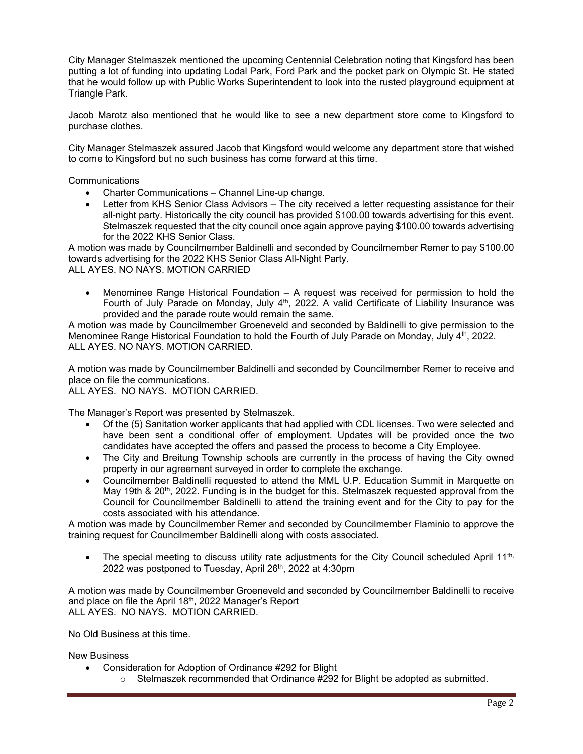City Manager Stelmaszek mentioned the upcoming Centennial Celebration noting that Kingsford has been putting a lot of funding into updating Lodal Park, Ford Park and the pocket park on Olympic St. He stated that he would follow up with Public Works Superintendent to look into the rusted playground equipment at Triangle Park.

Jacob Marotz also mentioned that he would like to see a new department store come to Kingsford to purchase clothes.

City Manager Stelmaszek assured Jacob that Kingsford would welcome any department store that wished to come to Kingsford but no such business has come forward at this time.

**Communications** 

- Charter Communications Channel Line-up change.
- Letter from KHS Senior Class Advisors The city received a letter requesting assistance for their all-night party. Historically the city council has provided \$100.00 towards advertising for this event. Stelmaszek requested that the city council once again approve paying \$100.00 towards advertising for the 2022 KHS Senior Class.

A motion was made by Councilmember Baldinelli and seconded by Councilmember Remer to pay \$100.00 towards advertising for the 2022 KHS Senior Class All-Night Party. ALL AYES. NO NAYS. MOTION CARRIED

 Menominee Range Historical Foundation – A request was received for permission to hold the Fourth of July Parade on Monday, July  $4<sup>th</sup>$ , 2022. A valid Certificate of Liability Insurance was provided and the parade route would remain the same.

A motion was made by Councilmember Groeneveld and seconded by Baldinelli to give permission to the Menominee Range Historical Foundation to hold the Fourth of July Parade on Monday, July 4<sup>th</sup>, 2022. ALL AYES. NO NAYS. MOTION CARRIED.

A motion was made by Councilmember Baldinelli and seconded by Councilmember Remer to receive and place on file the communications.

ALL AYES. NO NAYS. MOTION CARRIED.

The Manager's Report was presented by Stelmaszek.

- Of the (5) Sanitation worker applicants that had applied with CDL licenses. Two were selected and have been sent a conditional offer of employment. Updates will be provided once the two candidates have accepted the offers and passed the process to become a City Employee.
- The City and Breitung Township schools are currently in the process of having the City owned property in our agreement surveyed in order to complete the exchange.
- Councilmember Baldinelli requested to attend the MML U.P. Education Summit in Marquette on May 19th & 20<sup>th</sup>, 2022. Funding is in the budget for this. Stelmaszek requested approval from the Council for Councilmember Baldinelli to attend the training event and for the City to pay for the costs associated with his attendance.

A motion was made by Councilmember Remer and seconded by Councilmember Flaminio to approve the training request for Councilmember Baldinelli along with costs associated.

 $\bullet$  The special meeting to discuss utility rate adjustments for the City Council scheduled April 11<sup>th,</sup> 2022 was postponed to Tuesday, April 26<sup>th</sup>, 2022 at 4:30pm

A motion was made by Councilmember Groeneveld and seconded by Councilmember Baldinelli to receive and place on file the April 18th, 2022 Manager's Report ALL AYES. NO NAYS. MOTION CARRIED.

No Old Business at this time.

New Business

- Consideration for Adoption of Ordinance #292 for Blight
	- $\circ$  Stelmaszek recommended that Ordinance #292 for Blight be adopted as submitted.